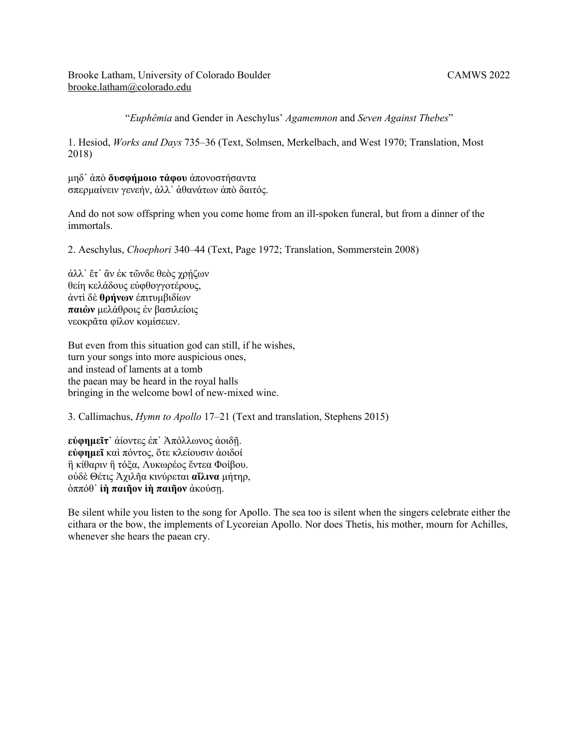Brooke Latham, University of Colorado Boulder CAMWS 2022 brooke.latham@colorado.edu

"*Euphêmia* and Gender in Aeschylus' *Agamemnon* and *Seven Against Thebes*"

1. Hesiod, *Works and Days* 735–36 (Text, Solmsen, Merkelbach, and West 1970; Translation, Most 2018)

μηδ᾽ ἀπὸ **δυσφήμοιο τάφου** ἀπονοστήσαντα σπερμαίνειν γενεήν, ἀλλ᾽ ἀθανάτων ἀπὸ δαιτός.

And do not sow offspring when you come home from an ill-spoken funeral, but from a dinner of the immortals.

2. Aeschylus, *Choephori* 340–44 (Text, Page 1972; Translation, Sommerstein 2008)

άλλ' ἔτ' ἂν ἐκ τῶνδε θεὸς χρήζων θείη κελάδους εὐφθογγοτέρους, ἀντὶ δὲ **θρήνων** ἐπιτυμβιδίων **παιὼν** μελάθροις ἐν βασιλείοις νεοκρᾶτα φίλον κομίσειεν.

But even from this situation god can still, if he wishes, turn your songs into more auspicious ones, and instead of laments at a tomb the paean may be heard in the royal halls bringing in the welcome bowl of new-mixed wine.

3. Callimachus, *Hymn to Apollo* 17–21 (Text and translation, Stephens 2015)

**εὐφημεῖτ᾿** ἀίοντες ἐπ᾿ Ἀπόλλωνος ἀοιδῇ. **εὐφημεῖ** καὶ πόντος, ὅτε κλείουσιν ἀοιδοί ἢ κίθαριν ἢ τόξα, Λυκωρέος ἔντεα Φοίβου. οὐδὲ Θέτις Ἀχιλῆα κινύρεται **αἴλινα** μήτηρ, ὁππόθ᾿ **ἱὴ παιῆον ἱὴ παιῆον** ἀκούσῃ.

Be silent while you listen to the song for Apollo. The sea too is silent when the singers celebrate either the cithara or the bow, the implements of Lycoreian Apollo. Nor does Thetis, his mother, mourn for Achilles, whenever she hears the paean cry.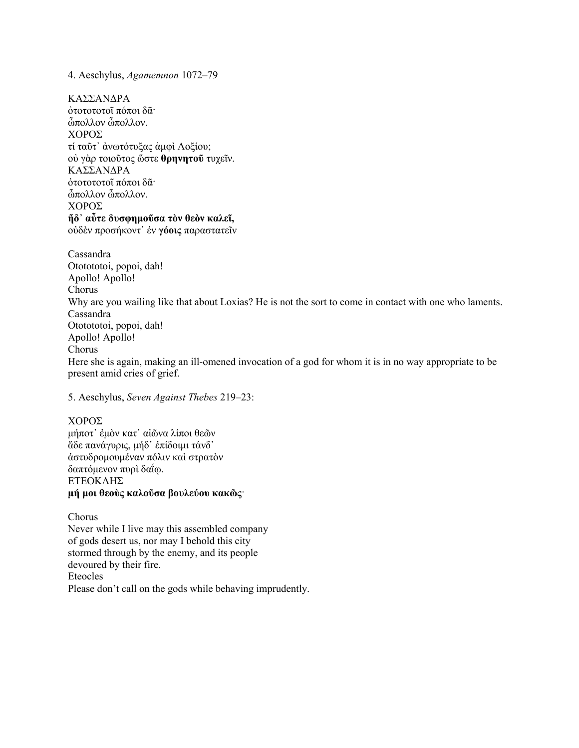## 4. Aeschylus, *Agamemnon* 1072–79

ΚΑΣΣΑΝΔΡΑ ὀτοτοτοτοῖ πόποι δᾶ· ὦπολλον ὦπολλον. ΧΟΡΟΣ τί ταῦτ᾿ ἀνωτότυξας ἀμφὶ Λοξίου; οὐ γὰρ τοιοῦτος ὥστε **θρηνητοῦ** τυχεῖν. ΚΑΣΣΑΝΔΡΑ ὀτοτοτοτοῖ πόποι δᾶ· ὦπολλον ὦπολλον. ΧΟΡΟΣ **ἥδ᾿ αὖτε δυσφημοῦσα τὸν θεὸν καλεῖ,** οὐδὲν προσήκοντ᾿ ἐν **γόοις** παραστατεῖν

Cassandra Ototototoi, popoi, dah! Apollo! Apollo! Chorus Why are you wailing like that about Loxias? He is not the sort to come in contact with one who laments. Cassandra Ototototoi, popoi, dah! Apollo! Apollo! Chorus Here she is again, making an ill-omened invocation of a god for whom it is in no way appropriate to be present amid cries of grief.

5. Aeschylus, *Seven Against Thebes* 219–23:

## ΧΟΡΟΣ

μήποτ᾿ ἐμὸν κατ᾿ αἰῶνα λίποι θεῶν ἅδε πανάγυρις, μήδ᾿ ἐπίδοιμι τάνδ᾿ ἀστυδρομουμέναν πόλιν καὶ στρατὸν δαπτόμενον πυρὶ δαΐῳ. ΕΤΕΟΚΛΗΣ **μή μοι θεοὺς καλοῦσα βουλεύου κακῶς**·

Chorus Never while I live may this assembled company of gods desert us, nor may I behold this city stormed through by the enemy, and its people devoured by their fire. Eteocles Please don't call on the gods while behaving imprudently.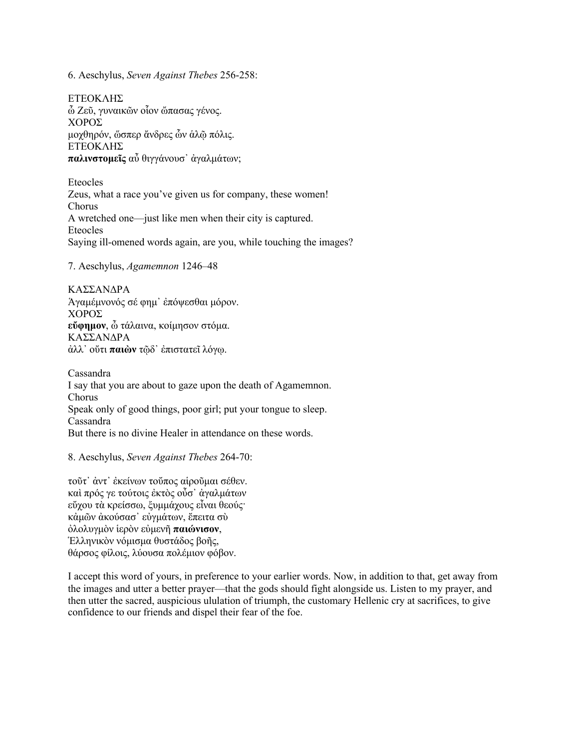6. Aeschylus, *Seven Against Thebes* 256-258:

ΕΤΕΟΚΛΗΣ ὦ Ζεῦ, γυναικῶν οἷον ὤπασας γένος. ΧΟΡΟΣ μοχθηρόν, ὥσπερ ἄνδρες ὧν ἁλῷ πόλις. ΕΤΕΟΚΛΗΣ **παλινστομεῖς** αὖ θιγγάνουσ᾿ ἀγαλμάτων;

Eteocles Zeus, what a race you've given us for company, these women! Chorus A wretched one—just like men when their city is captured. Eteocles Saying ill-omened words again, are you, while touching the images?

7. Aeschylus, *Agamemnon* 1246–48

ΚΑΣΣΑΝΔΡΑ Ἁγαμέμνονός σέ φημ᾿ ἐπόψεσθαι μόρον. ΧΟΡΟΣ **εὔφημον**, ὦ τάλαινα, κοίμησον στόμα. ΚΑΣΣΑΝΔΡΑ ἀλλ᾿ οὔτι **παιὼν** τῷδ᾿ ἐπιστατεῖ λόγῳ.

Cassandra I say that you are about to gaze upon the death of Agamemnon. Chorus Speak only of good things, poor girl; put your tongue to sleep. Cassandra But there is no divine Healer in attendance on these words.

## 8. Aeschylus, *Seven Against Thebes* 264-70:

τοῦτ᾿ ἀντ᾿ ἐκείνων τοὔπος αἱροῦμαι σέθεν. καὶ πρός γε τούτοις ἐκτὸς οὖσ᾿ ἀγαλμάτων εὔχου τὰ κρείσσω, ξυμμάχους εἶναι θεούς· κἀμῶν ἀκούσασ᾿ εὐγμάτων, ἔπειτα σὺ ὀλολυγμὸν ἱερὸν εὐμενῆ **παιώνισον**, Ἑλληνικὸν νόμισμα θυστάδος βοῆς, θάρσος φίλοις, λύουσα πολέμιον φόβον.

I accept this word of yours, in preference to your earlier words. Now, in addition to that, get away from the images and utter a better prayer—that the gods should fight alongside us. Listen to my prayer, and then utter the sacred, auspicious ululation of triumph, the customary Hellenic cry at sacrifices, to give confidence to our friends and dispel their fear of the foe.